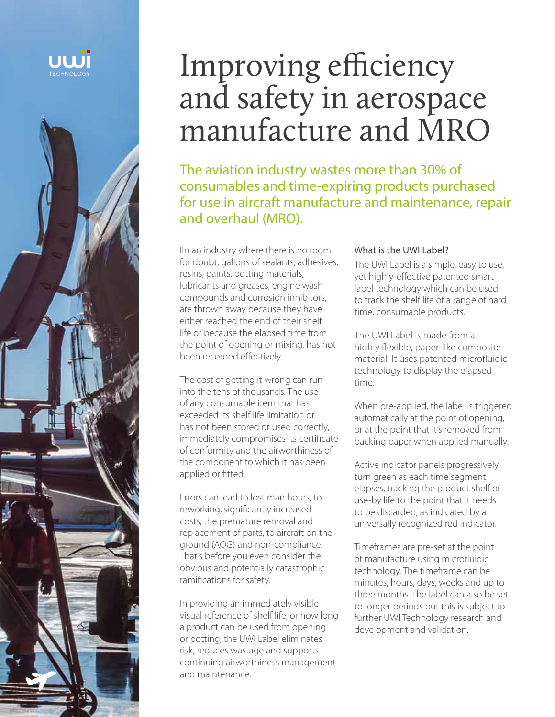



# Improving efficiency and safety in aerospace manufacture and MRO

The aviation industry wastes more than 30% of consumables and time-expiring products purchased for use in aircraft manufacture and maintenance, repair and overhaul (MRO).

IIn an industry where there is no room for doubt, gallons of sealants, adhesives, resins, paints, potting materials, lubricants and greases, engine wash compounds and corrosion inhibitors, are thrown away because they have either reached the end of their shelf life or because the elapsed time from the point of opening or mixing, has not been recorded effectively.

The cost of getting it wrong can run into the tens of thousands. The use of any consumable item that has exceeded its shelf life limitation or has not been stored or used correctly, immediately compromises its certificate of conformity and the airworthiness of the component to which it has been applied or fitted.

Errors can lead to lost man hours, to reworking, significantly increased costs, the premature removal and replacement of parts, to aircraft on the ground (AOG) and non-compliance. That's before you even consider the obvious and potentially catastrophic ramifications for safety.

In providing an immediately visible visual reference of shelf life, or how long a product can be used from opening or potting, the UWI Label eliminates risk, reduces wastage and supports continuing airworthiness management and maintenance.

#### What is the UWI Label?

The UWI Label is a simple, easy to use, yet highly-effective patented smart label technology which can be used to track the shelf life of a range of hard time, consumable products.

The UWI Label is made from a highly flexible, paper-like composite material. It uses patented microfluidic technology to display the elapsed time.

When pre-applied, the label is triggered automatically at the point of opening, or at the point that it's removed from backing paper when applied manually.

Active indicator panels progressively turn green as each time segment elapses, tracking the product shelf or use-by life to the point that it needs to be discarded, as indicated by a universally recognized red indicator.

Timeframes are pre-set at the point of manufacture using microfluidic technology. The timeframe can be minutes, hours, days, weeks and up to three months. The label can also be set to longer periods but this is subject to further UWI Technology research and development and validation.